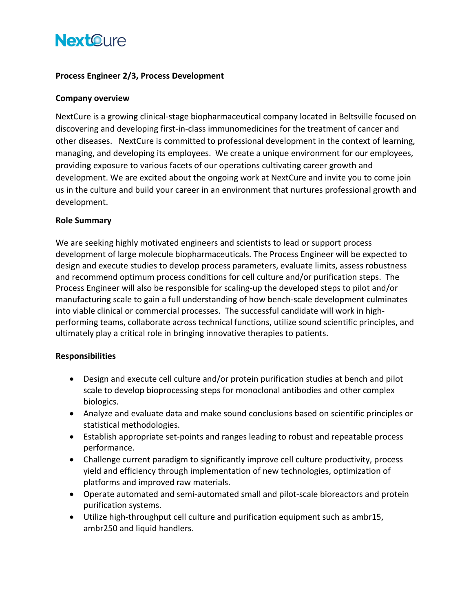# **NextCure**

### **Process Engineer 2/3, Process Development**

#### **Company overview**

NextCure is a growing clinical-stage biopharmaceutical company located in Beltsville focused on discovering and developing first-in-class immunomedicines for the treatment of cancer and other diseases. NextCure is committed to professional development in the context of learning, managing, and developing its employees. We create a unique environment for our employees, providing exposure to various facets of our operations cultivating career growth and development. We are excited about the ongoing work at NextCure and invite you to come join us in the culture and build your career in an environment that nurtures professional growth and development.

#### **Role Summary**

We are seeking highly motivated engineers and scientists to lead or support process development of large molecule biopharmaceuticals. The Process Engineer will be expected to design and execute studies to develop process parameters, evaluate limits, assess robustness and recommend optimum process conditions for cell culture and/or purification steps. The Process Engineer will also be responsible for scaling-up the developed steps to pilot and/or manufacturing scale to gain a full understanding of how bench-scale development culminates into viable clinical or commercial processes. The successful candidate will work in highperforming teams, collaborate across technical functions, utilize sound scientific principles, and ultimately play a critical role in bringing innovative therapies to patients.

#### **Responsibilities**

- Design and execute cell culture and/or protein purification studies at bench and pilot scale to develop bioprocessing steps for monoclonal antibodies and other complex biologics.
- Analyze and evaluate data and make sound conclusions based on scientific principles or statistical methodologies.
- Establish appropriate set-points and ranges leading to robust and repeatable process performance.
- Challenge current paradigm to significantly improve cell culture productivity, process yield and efficiency through implementation of new technologies, optimization of platforms and improved raw materials.
- Operate automated and semi-automated small and pilot-scale bioreactors and protein purification systems.
- Utilize high-throughput cell culture and purification equipment such as ambr15, ambr250 and liquid handlers.